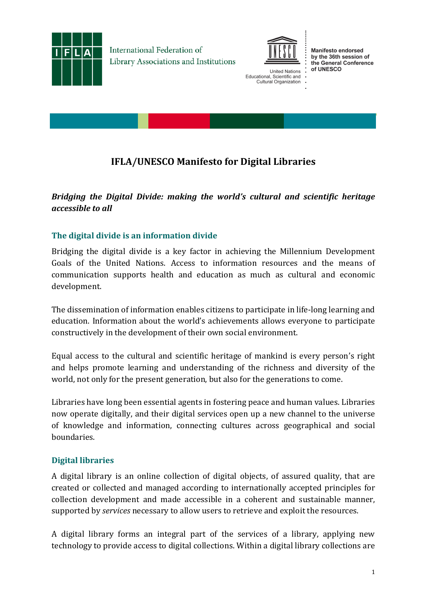

International Federation of Library Associations and Institutions



**United Nations** Educational, Scientific and Cultural Organization

**Manifesto endorsed** by the 36th session of the General Conference of UNESCO

# **IFLA/UNESCO Manifesto for Digital Libraries**

# *Bridging the Digital Divide: making the world's cultural and scientific heritage accessible to all*

# **The digital divide is an information divide**

Bridging the digital divide is a key factor in achieving the Millennium Development Goals of the United Nations. Access to information resources and the means of communication supports health and education as much as cultural and economic development.

The dissemination of information enables citizens to participate in life-long learning and education. Information about the world's achievements allows everyone to participate constructively in the development of their own social environment.

Equal access to the cultural and scientific heritage of mankind is every person's right and helps promote learning and understanding of the richness and diversity of the world, not only for the present generation, but also for the generations to come.

Libraries have long been essential agents in fostering peace and human values. Libraries now operate digitally, and their digital services open up a new channel to the universe of knowledge and information, connecting cultures across geographical and social boundaries.

### **Digital libraries**

A digital library is an online collection of digital objects, of assured quality, that are created or collected and managed according to internationally accepted principles for collection development and made accessible in a coherent and sustainable manner, supported by *services* necessary to allow users to retrieve and exploit the resources.

A digital library forms an integral part of the services of a library, applying new technology to provide access to digital collections. Within a digital library collections are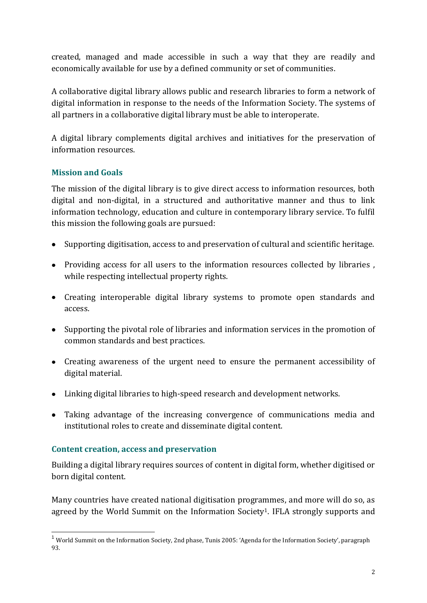created, managed and made accessible in such a way that they are readily and economically available for use by a defined community or set of communities.

A collaborative digital library allows public and research libraries to form a network of digital information in response to the needs of the Information Society. The systems of all partners in a collaborative digital library must be able to interoperate.

A digital library complements digital archives and initiatives for the preservation of information resources.

# **Mission and Goals**

The mission of the digital library is to give direct access to information resources, both digital and non-digital, in a structured and authoritative manner and thus to link information technology, education and culture in contemporary library service. To fulfil this mission the following goals are pursued:

- Supporting digitisation, access to and preservation of cultural and scientific heritage.
- Providing access for all users to the information resources collected by libraries , while respecting intellectual property rights.
- Creating interoperable digital library systems to promote open standards and access.
- Supporting the pivotal role of libraries and information services in the promotion of common standards and best practices.
- Creating awareness of the urgent need to ensure the permanent accessibility of digital material.
- Linking digital libraries to high-speed research and development networks.
- Taking advantage of the increasing convergence of communications media and institutional roles to create and disseminate digital content.

### **Content creation, access and preservation**

Building a digital library requires sources of content in digital form, whether digitised or born digital content.

Many countries have created national digitisation programmes, and more will do so, as agreed by the World Summit on the Information Society<sup>1</sup>. IFLA strongly supports and

<sup>-</sup><sup>1</sup> World Summit on the Information Society, 2nd phase, Tunis 2005: 'Agenda for the Information Society', paragraph 93.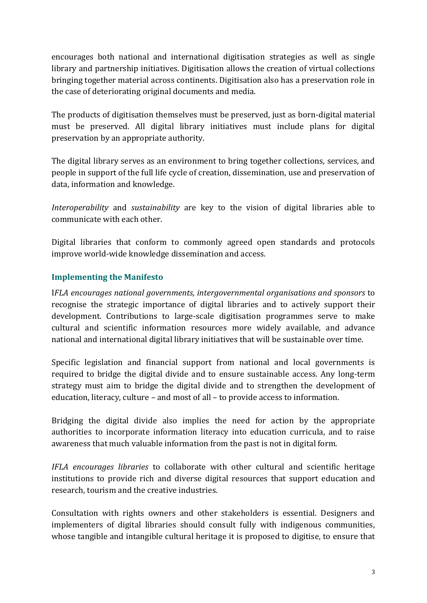encourages both national and international digitisation strategies as well as single library and partnership initiatives. Digitisation allows the creation of virtual collections bringing together material across continents. Digitisation also has a preservation role in the case of deteriorating original documents and media.

The products of digitisation themselves must be preserved, just as born-digital material must be preserved. All digital library initiatives must include plans for digital preservation by an appropriate authority.

The digital library serves as an environment to bring together collections, services, and people in support of the full life cycle of creation, dissemination, use and preservation of data, information and knowledge.

*Interoperability* and *sustainability* are key to the vision of digital libraries able to communicate with each other.

Digital libraries that conform to commonly agreed open standards and protocols improve world-wide knowledge dissemination and access.

### **Implementing the Manifesto**

I*FLA encourages national governments, intergovernmental organisations and sponsors* to recognise the strategic importance of digital libraries and to actively support their development. Contributions to large-scale digitisation programmes serve to make cultural and scientific information resources more widely available, and advance national and international digital library initiatives that will be sustainable over time.

Specific legislation and financial support from national and local governments is required to bridge the digital divide and to ensure sustainable access. Any long-term strategy must aim to bridge the digital divide and to strengthen the development of education, literacy, culture – and most of all – to provide access to information.

Bridging the digital divide also implies the need for action by the appropriate authorities to incorporate information literacy into education curricula, and to raise awareness that much valuable information from the past is not in digital form.

*IFLA encourages libraries* to collaborate with other cultural and scientific heritage institutions to provide rich and diverse digital resources that support education and research, tourism and the creative industries.

Consultation with rights owners and other stakeholders is essential. Designers and implementers of digital libraries should consult fully with indigenous communities, whose tangible and intangible cultural heritage it is proposed to digitise, to ensure that